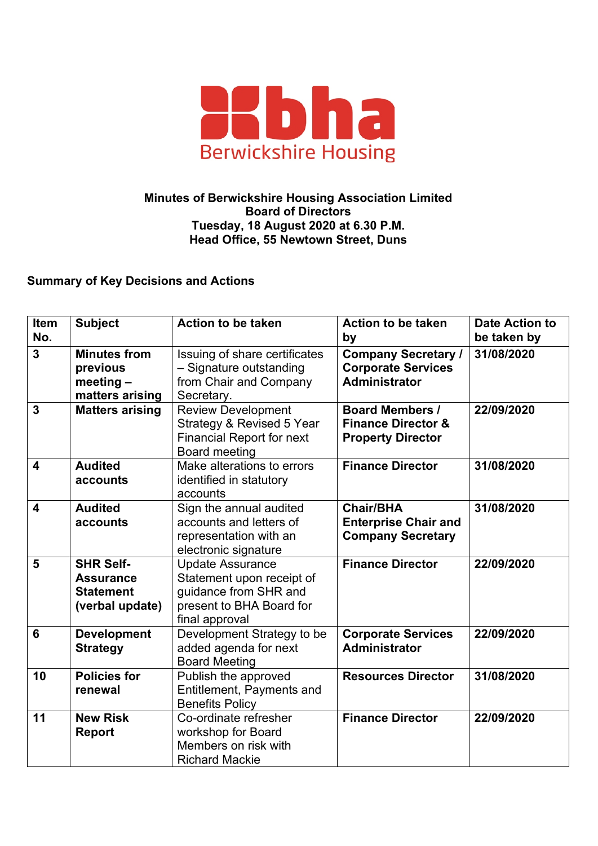

## **Minutes of Berwickshire Housing Association Limited Board of Directors Tuesday, 18 August 2020 at 6.30 P.M. Head Office, 55 Newtown Street, Duns**

## **Summary of Key Decisions and Actions**

| <b>Item</b><br>No.      | <b>Subject</b>                                                              | <b>Action to be taken</b>                                                                                                   | <b>Action to be taken</b><br>by                                                     | <b>Date Action to</b><br>be taken by |
|-------------------------|-----------------------------------------------------------------------------|-----------------------------------------------------------------------------------------------------------------------------|-------------------------------------------------------------------------------------|--------------------------------------|
| $\overline{3}$          | <b>Minutes from</b><br>previous<br>meeting $-$<br>matters arising           | Issuing of share certificates<br>- Signature outstanding<br>from Chair and Company<br>Secretary.                            | <b>Company Secretary /</b><br><b>Corporate Services</b><br><b>Administrator</b>     | 31/08/2020                           |
| $\overline{3}$          | <b>Matters arising</b>                                                      | <b>Review Development</b><br>Strategy & Revised 5 Year<br><b>Financial Report for next</b><br><b>Board meeting</b>          | <b>Board Members /</b><br><b>Finance Director &amp;</b><br><b>Property Director</b> | 22/09/2020                           |
| $\overline{\mathbf{4}}$ | <b>Audited</b><br>accounts                                                  | Make alterations to errors<br>identified in statutory<br>accounts                                                           | <b>Finance Director</b>                                                             | 31/08/2020                           |
| $\overline{\mathbf{4}}$ | <b>Audited</b><br>accounts                                                  | Sign the annual audited<br>accounts and letters of<br>representation with an<br>electronic signature                        | <b>Chair/BHA</b><br><b>Enterprise Chair and</b><br><b>Company Secretary</b>         | 31/08/2020                           |
| 5                       | <b>SHR Self-</b><br><b>Assurance</b><br><b>Statement</b><br>(verbal update) | <b>Update Assurance</b><br>Statement upon receipt of<br>guidance from SHR and<br>present to BHA Board for<br>final approval | <b>Finance Director</b>                                                             | 22/09/2020                           |
| 6                       | <b>Development</b><br><b>Strategy</b>                                       | Development Strategy to be<br>added agenda for next<br><b>Board Meeting</b>                                                 | <b>Corporate Services</b><br><b>Administrator</b>                                   | 22/09/2020                           |
| 10                      | <b>Policies for</b><br>renewal                                              | Publish the approved<br>Entitlement, Payments and<br><b>Benefits Policy</b>                                                 | <b>Resources Director</b>                                                           | 31/08/2020                           |
| 11                      | <b>New Risk</b><br><b>Report</b>                                            | Co-ordinate refresher<br>workshop for Board<br>Members on risk with<br><b>Richard Mackie</b>                                | <b>Finance Director</b>                                                             | 22/09/2020                           |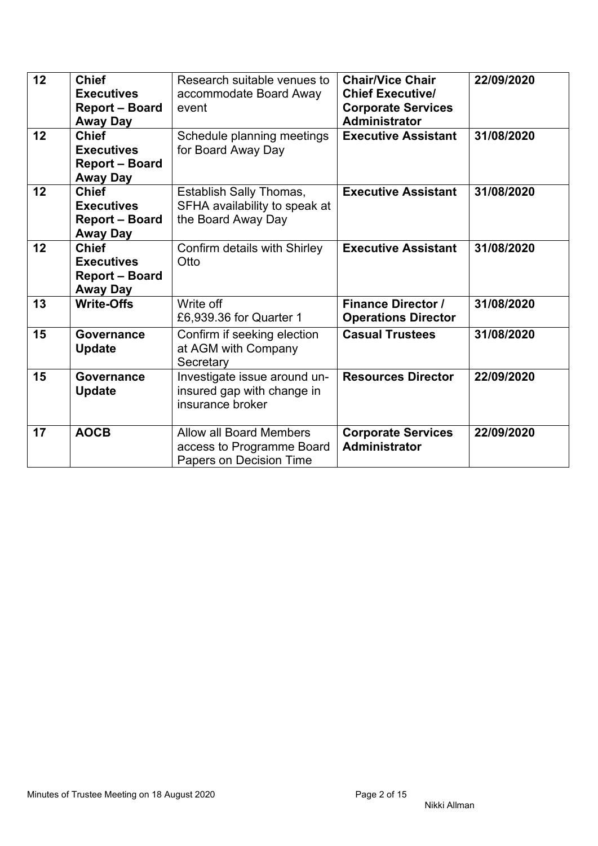| 12<br>12 | <b>Chief</b><br><b>Executives</b><br><b>Report - Board</b><br><b>Away Day</b><br><b>Chief</b> | Research suitable venues to<br>accommodate Board Away<br>event<br>Schedule planning meetings | <b>Chair/Vice Chair</b><br><b>Chief Executive/</b><br><b>Corporate Services</b><br><b>Administrator</b><br><b>Executive Assistant</b> | 22/09/2020<br>31/08/2020 |
|----------|-----------------------------------------------------------------------------------------------|----------------------------------------------------------------------------------------------|---------------------------------------------------------------------------------------------------------------------------------------|--------------------------|
|          | <b>Executives</b><br><b>Report - Board</b><br>Away Day                                        | for Board Away Day                                                                           |                                                                                                                                       |                          |
| 12       | <b>Chief</b><br><b>Executives</b><br><b>Report - Board</b><br><b>Away Day</b>                 | <b>Establish Sally Thomas,</b><br>SFHA availability to speak at<br>the Board Away Day        | <b>Executive Assistant</b>                                                                                                            | 31/08/2020               |
| 12       | <b>Chief</b><br><b>Executives</b><br><b>Report - Board</b><br><b>Away Day</b>                 | Confirm details with Shirley<br>Otto                                                         | <b>Executive Assistant</b>                                                                                                            | 31/08/2020               |
| 13       | <b>Write-Offs</b>                                                                             | Write off<br>£6,939.36 for Quarter 1                                                         | <b>Finance Director /</b><br><b>Operations Director</b>                                                                               | 31/08/2020               |
| 15       | Governance<br><b>Update</b>                                                                   | Confirm if seeking election<br>at AGM with Company<br>Secretary                              | <b>Casual Trustees</b>                                                                                                                | 31/08/2020               |
| 15       | Governance<br><b>Update</b>                                                                   | Investigate issue around un-<br>insured gap with change in<br>insurance broker               | <b>Resources Director</b>                                                                                                             | 22/09/2020               |
| 17       | <b>AOCB</b>                                                                                   | <b>Allow all Board Members</b><br>access to Programme Board<br>Papers on Decision Time       | <b>Corporate Services</b><br><b>Administrator</b>                                                                                     | 22/09/2020               |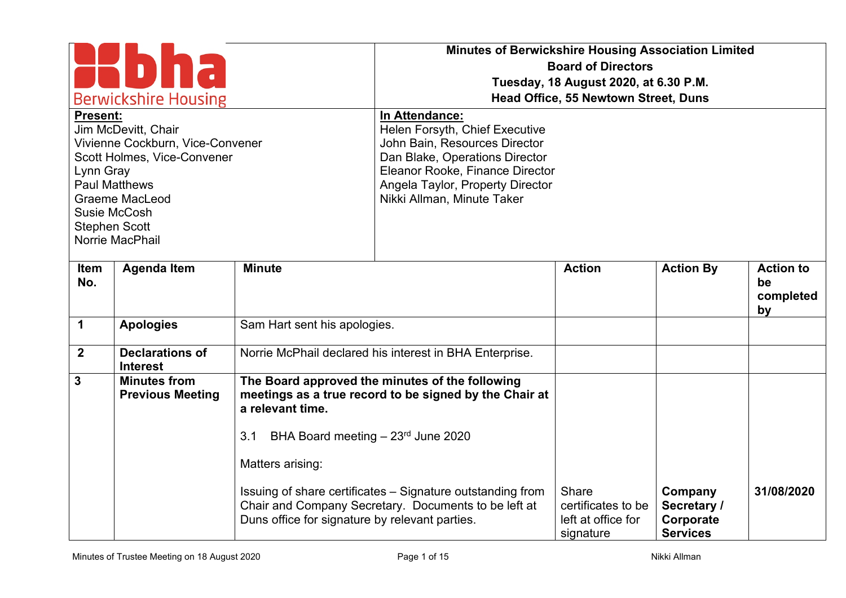| <b>Berwickshire Housing</b><br><b>Present:</b><br>Jim McDevitt, Chair<br>Vivienne Cockburn, Vice-Convener<br>Scott Holmes, Vice-Convener<br>Lynn Gray<br><b>Paul Matthews</b><br><b>Graeme MacLeod</b><br>Susie McCosh<br><b>Stephen Scott</b><br>Norrie MacPhail |                                                |                                                                                                | <b>Minutes of Berwickshire Housing Association Limited</b><br>In Attendance:<br>Helen Forsyth, Chief Executive<br>John Bain, Resources Director<br>Dan Blake, Operations Director<br>Eleanor Rooke, Finance Director<br>Angela Taylor, Property Director<br>Nikki Allman, Minute Taker | <b>Board of Directors</b><br>Tuesday, 18 August 2020, at 6.30 P.M.<br>Head Office, 55 Newtown Street, Duns |                                             |                                           |
|-------------------------------------------------------------------------------------------------------------------------------------------------------------------------------------------------------------------------------------------------------------------|------------------------------------------------|------------------------------------------------------------------------------------------------|----------------------------------------------------------------------------------------------------------------------------------------------------------------------------------------------------------------------------------------------------------------------------------------|------------------------------------------------------------------------------------------------------------|---------------------------------------------|-------------------------------------------|
| Item<br>No.                                                                                                                                                                                                                                                       | <b>Agenda Item</b>                             | <b>Minute</b>                                                                                  |                                                                                                                                                                                                                                                                                        | <b>Action</b>                                                                                              | <b>Action By</b>                            | <b>Action to</b><br>be<br>completed<br>by |
| $\mathbf 1$                                                                                                                                                                                                                                                       | <b>Apologies</b>                               | Sam Hart sent his apologies.                                                                   |                                                                                                                                                                                                                                                                                        |                                                                                                            |                                             |                                           |
| $\overline{2}$                                                                                                                                                                                                                                                    | <b>Declarations of</b><br><b>Interest</b>      |                                                                                                | Norrie McPhail declared his interest in BHA Enterprise.                                                                                                                                                                                                                                |                                                                                                            |                                             |                                           |
| $\mathbf{3}$                                                                                                                                                                                                                                                      | <b>Minutes from</b><br><b>Previous Meeting</b> | a relevant time.<br>BHA Board meeting $-23$ <sup>rd</sup> June 2020<br>3.1<br>Matters arising: | The Board approved the minutes of the following<br>meetings as a true record to be signed by the Chair at<br>Issuing of share certificates - Signature outstanding from                                                                                                                | Share                                                                                                      | Company                                     | 31/08/2020                                |
|                                                                                                                                                                                                                                                                   |                                                | Duns office for signature by relevant parties.                                                 | Chair and Company Secretary. Documents to be left at                                                                                                                                                                                                                                   | certificates to be<br>left at office for<br>signature                                                      | Secretary /<br>Corporate<br><b>Services</b> |                                           |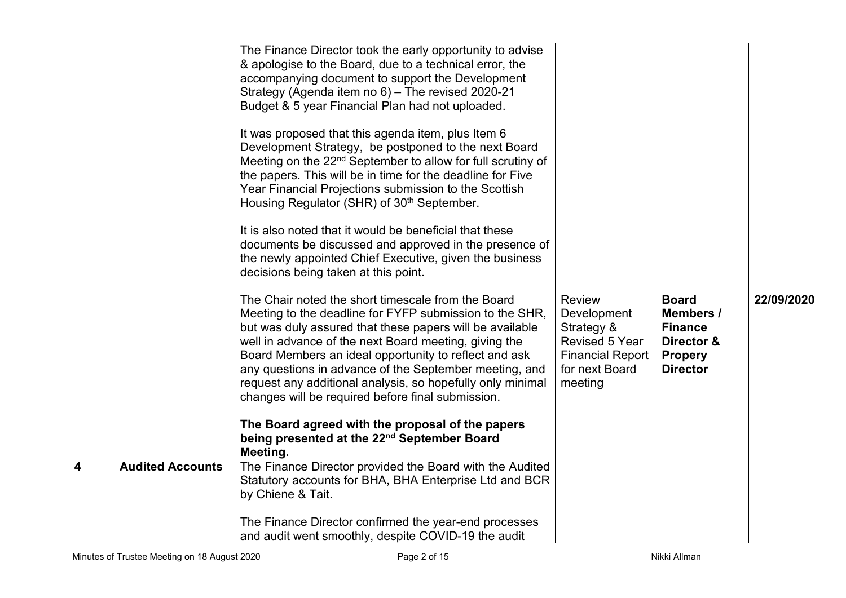|                |                         | The Finance Director took the early opportunity to advise<br>& apologise to the Board, due to a technical error, the<br>accompanying document to support the Development<br>Strategy (Agenda item no 6) - The revised 2020-21<br>Budget & 5 year Financial Plan had not uploaded.<br>It was proposed that this agenda item, plus Item 6<br>Development Strategy, be postponed to the next Board<br>Meeting on the 22 <sup>nd</sup> September to allow for full scrutiny of<br>the papers. This will be in time for the deadline for Five<br>Year Financial Projections submission to the Scottish<br>Housing Regulator (SHR) of 30 <sup>th</sup> September.<br>It is also noted that it would be beneficial that these<br>documents be discussed and approved in the presence of<br>the newly appointed Chief Executive, given the business<br>decisions being taken at this point.<br>The Chair noted the short timescale from the Board<br>Meeting to the deadline for FYFP submission to the SHR,<br>but was duly assured that these papers will be available<br>well in advance of the next Board meeting, giving the<br>Board Members an ideal opportunity to reflect and ask<br>any questions in advance of the September meeting, and<br>request any additional analysis, so hopefully only minimal<br>changes will be required before final submission.<br>The Board agreed with the proposal of the papers<br>being presented at the 22nd September Board<br>Meeting. | <b>Review</b><br>Development<br>Strategy &<br>Revised 5 Year<br><b>Financial Report</b><br>for next Board<br>meeting | <b>Board</b><br><b>Members /</b><br><b>Finance</b><br>Director &<br><b>Propery</b><br><b>Director</b> | 22/09/2020 |
|----------------|-------------------------|--------------------------------------------------------------------------------------------------------------------------------------------------------------------------------------------------------------------------------------------------------------------------------------------------------------------------------------------------------------------------------------------------------------------------------------------------------------------------------------------------------------------------------------------------------------------------------------------------------------------------------------------------------------------------------------------------------------------------------------------------------------------------------------------------------------------------------------------------------------------------------------------------------------------------------------------------------------------------------------------------------------------------------------------------------------------------------------------------------------------------------------------------------------------------------------------------------------------------------------------------------------------------------------------------------------------------------------------------------------------------------------------------------------------------------------------------------------------------------|----------------------------------------------------------------------------------------------------------------------|-------------------------------------------------------------------------------------------------------|------------|
| $\overline{4}$ | <b>Audited Accounts</b> | The Finance Director provided the Board with the Audited<br>Statutory accounts for BHA, BHA Enterprise Ltd and BCR<br>by Chiene & Tait.<br>The Finance Director confirmed the year-end processes                                                                                                                                                                                                                                                                                                                                                                                                                                                                                                                                                                                                                                                                                                                                                                                                                                                                                                                                                                                                                                                                                                                                                                                                                                                                               |                                                                                                                      |                                                                                                       |            |
|                |                         | and audit went smoothly, despite COVID-19 the audit                                                                                                                                                                                                                                                                                                                                                                                                                                                                                                                                                                                                                                                                                                                                                                                                                                                                                                                                                                                                                                                                                                                                                                                                                                                                                                                                                                                                                            |                                                                                                                      |                                                                                                       |            |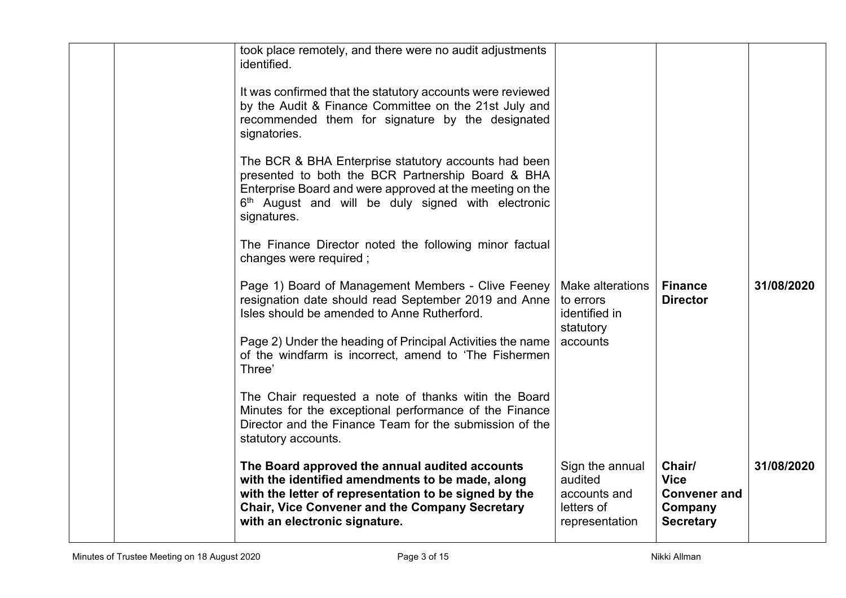|  | took place remotely, and there were no audit adjustments<br>identified.<br>It was confirmed that the statutory accounts were reviewed<br>by the Audit & Finance Committee on the 21st July and<br>recommended them for signature by the designated<br>signatories.<br>The BCR & BHA Enterprise statutory accounts had been<br>presented to both the BCR Partnership Board & BHA<br>Enterprise Board and were approved at the meeting on the<br>6 <sup>th</sup> August and will be duly signed with electronic<br>signatures.<br>The Finance Director noted the following minor factual<br>changes were required; |                                                                            |                                                                             |            |
|--|------------------------------------------------------------------------------------------------------------------------------------------------------------------------------------------------------------------------------------------------------------------------------------------------------------------------------------------------------------------------------------------------------------------------------------------------------------------------------------------------------------------------------------------------------------------------------------------------------------------|----------------------------------------------------------------------------|-----------------------------------------------------------------------------|------------|
|  | Page 1) Board of Management Members - Clive Feeney<br>resignation date should read September 2019 and Anne<br>Isles should be amended to Anne Rutherford.                                                                                                                                                                                                                                                                                                                                                                                                                                                        | Make alterations<br>to errors<br>identified in<br>statutory                | <b>Finance</b><br><b>Director</b>                                           | 31/08/2020 |
|  | Page 2) Under the heading of Principal Activities the name<br>of the windfarm is incorrect, amend to 'The Fishermen<br>Three'                                                                                                                                                                                                                                                                                                                                                                                                                                                                                    | accounts                                                                   |                                                                             |            |
|  | The Chair requested a note of thanks witin the Board<br>Minutes for the exceptional performance of the Finance<br>Director and the Finance Team for the submission of the<br>statutory accounts.                                                                                                                                                                                                                                                                                                                                                                                                                 |                                                                            |                                                                             |            |
|  | The Board approved the annual audited accounts<br>with the identified amendments to be made, along<br>with the letter of representation to be signed by the<br><b>Chair, Vice Convener and the Company Secretary</b><br>with an electronic signature.                                                                                                                                                                                                                                                                                                                                                            | Sign the annual<br>audited<br>accounts and<br>letters of<br>representation | Chair/<br><b>Vice</b><br><b>Convener and</b><br>Company<br><b>Secretary</b> | 31/08/2020 |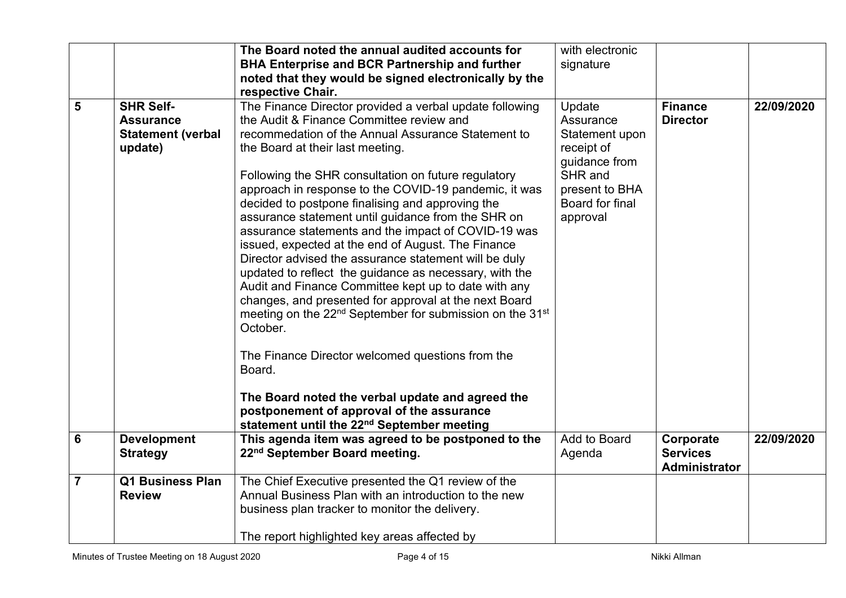|                |                                                                             | The Board noted the annual audited accounts for<br><b>BHA Enterprise and BCR Partnership and further</b><br>noted that they would be signed electronically by the                                                                                                                                                                                                                                                                                                                                                                                                                                                                                                                                                                                                                                                                                                                                                                                 | with electronic<br>signature                                                                                                     |                                                      |            |
|----------------|-----------------------------------------------------------------------------|---------------------------------------------------------------------------------------------------------------------------------------------------------------------------------------------------------------------------------------------------------------------------------------------------------------------------------------------------------------------------------------------------------------------------------------------------------------------------------------------------------------------------------------------------------------------------------------------------------------------------------------------------------------------------------------------------------------------------------------------------------------------------------------------------------------------------------------------------------------------------------------------------------------------------------------------------|----------------------------------------------------------------------------------------------------------------------------------|------------------------------------------------------|------------|
| 5              | <b>SHR Self-</b><br><b>Assurance</b><br><b>Statement (verbal</b><br>update) | respective Chair.<br>The Finance Director provided a verbal update following<br>the Audit & Finance Committee review and<br>recommedation of the Annual Assurance Statement to<br>the Board at their last meeting.<br>Following the SHR consultation on future regulatory<br>approach in response to the COVID-19 pandemic, it was<br>decided to postpone finalising and approving the<br>assurance statement until guidance from the SHR on<br>assurance statements and the impact of COVID-19 was<br>issued, expected at the end of August. The Finance<br>Director advised the assurance statement will be duly<br>updated to reflect the guidance as necessary, with the<br>Audit and Finance Committee kept up to date with any<br>changes, and presented for approval at the next Board<br>meeting on the 22 <sup>nd</sup> September for submission on the 31 <sup>st</sup><br>October.<br>The Finance Director welcomed questions from the | Update<br>Assurance<br>Statement upon<br>receipt of<br>guidance from<br>SHR and<br>present to BHA<br>Board for final<br>approval | <b>Finance</b><br><b>Director</b>                    | 22/09/2020 |
|                |                                                                             | Board.<br>The Board noted the verbal update and agreed the<br>postponement of approval of the assurance<br>statement until the 22 <sup>nd</sup> September meeting                                                                                                                                                                                                                                                                                                                                                                                                                                                                                                                                                                                                                                                                                                                                                                                 |                                                                                                                                  |                                                      |            |
| $6\phantom{1}$ | <b>Development</b><br><b>Strategy</b>                                       | This agenda item was agreed to be postponed to the<br>22 <sup>nd</sup> September Board meeting.                                                                                                                                                                                                                                                                                                                                                                                                                                                                                                                                                                                                                                                                                                                                                                                                                                                   | Add to Board<br>Agenda                                                                                                           | Corporate<br><b>Services</b><br><b>Administrator</b> | 22/09/2020 |
| $\overline{7}$ | <b>Q1 Business Plan</b><br><b>Review</b>                                    | The Chief Executive presented the Q1 review of the<br>Annual Business Plan with an introduction to the new<br>business plan tracker to monitor the delivery.<br>The report highlighted key areas affected by                                                                                                                                                                                                                                                                                                                                                                                                                                                                                                                                                                                                                                                                                                                                      |                                                                                                                                  |                                                      |            |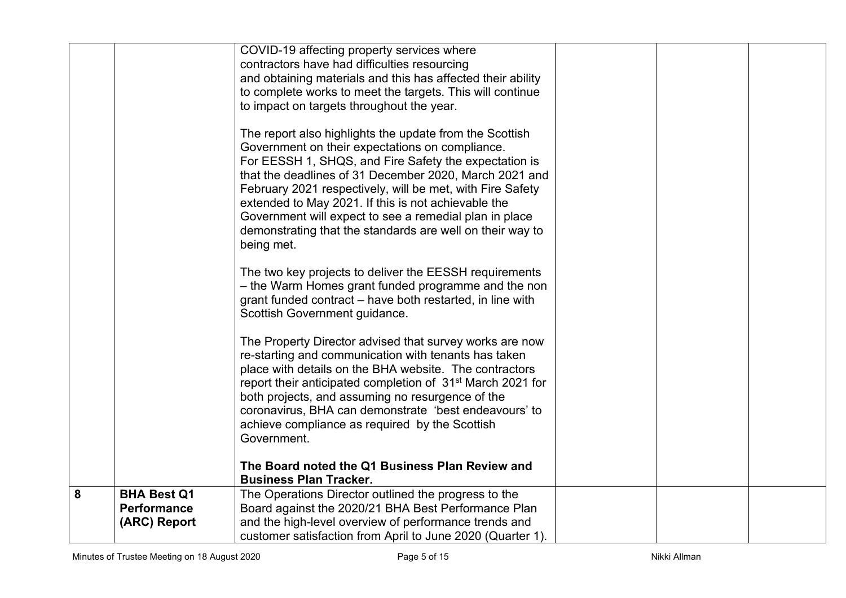|   |                    | COVID-19 affecting property services where                                                                                                                                                                                                                                                                                                                                                                                                                                                                                                                                                                                                                                                            |  |  |
|---|--------------------|-------------------------------------------------------------------------------------------------------------------------------------------------------------------------------------------------------------------------------------------------------------------------------------------------------------------------------------------------------------------------------------------------------------------------------------------------------------------------------------------------------------------------------------------------------------------------------------------------------------------------------------------------------------------------------------------------------|--|--|
|   |                    | contractors have had difficulties resourcing                                                                                                                                                                                                                                                                                                                                                                                                                                                                                                                                                                                                                                                          |  |  |
|   |                    | and obtaining materials and this has affected their ability                                                                                                                                                                                                                                                                                                                                                                                                                                                                                                                                                                                                                                           |  |  |
|   |                    | to complete works to meet the targets. This will continue                                                                                                                                                                                                                                                                                                                                                                                                                                                                                                                                                                                                                                             |  |  |
|   |                    | to impact on targets throughout the year.                                                                                                                                                                                                                                                                                                                                                                                                                                                                                                                                                                                                                                                             |  |  |
|   |                    | The report also highlights the update from the Scottish<br>Government on their expectations on compliance.<br>For EESSH 1, SHQS, and Fire Safety the expectation is<br>that the deadlines of 31 December 2020, March 2021 and<br>February 2021 respectively, will be met, with Fire Safety<br>extended to May 2021. If this is not achievable the<br>Government will expect to see a remedial plan in place<br>demonstrating that the standards are well on their way to<br>being met.<br>The two key projects to deliver the EESSH requirements<br>- the Warm Homes grant funded programme and the non<br>grant funded contract – have both restarted, in line with<br>Scottish Government guidance. |  |  |
|   |                    | The Property Director advised that survey works are now<br>re-starting and communication with tenants has taken<br>place with details on the BHA website. The contractors<br>report their anticipated completion of 31 <sup>st</sup> March 2021 for<br>both projects, and assuming no resurgence of the<br>coronavirus, BHA can demonstrate 'best endeavours' to<br>achieve compliance as required by the Scottish<br>Government.                                                                                                                                                                                                                                                                     |  |  |
|   |                    | The Board noted the Q1 Business Plan Review and<br><b>Business Plan Tracker.</b>                                                                                                                                                                                                                                                                                                                                                                                                                                                                                                                                                                                                                      |  |  |
| 8 | <b>BHA Best Q1</b> | The Operations Director outlined the progress to the                                                                                                                                                                                                                                                                                                                                                                                                                                                                                                                                                                                                                                                  |  |  |
|   | <b>Performance</b> | Board against the 2020/21 BHA Best Performance Plan                                                                                                                                                                                                                                                                                                                                                                                                                                                                                                                                                                                                                                                   |  |  |
|   | (ARC) Report       | and the high-level overview of performance trends and                                                                                                                                                                                                                                                                                                                                                                                                                                                                                                                                                                                                                                                 |  |  |
|   |                    | customer satisfaction from April to June 2020 (Quarter 1).                                                                                                                                                                                                                                                                                                                                                                                                                                                                                                                                                                                                                                            |  |  |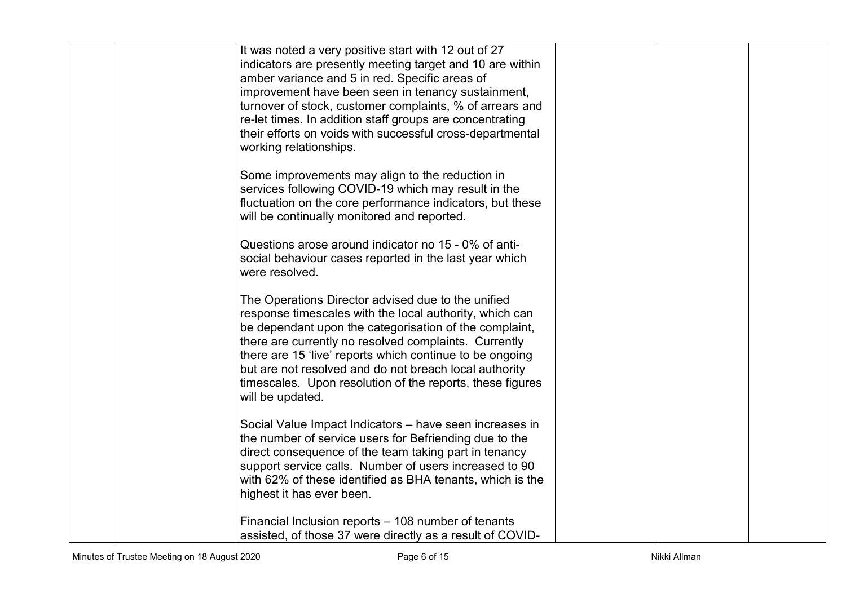| It was noted a very positive start with 12 out of 27<br>indicators are presently meeting target and 10 are within<br>amber variance and 5 in red. Specific areas of<br>improvement have been seen in tenancy sustainment,<br>turnover of stock, customer complaints, % of arrears and<br>re-let times. In addition staff groups are concentrating<br>their efforts on voids with successful cross-departmental<br>working relationships. |  |  |
|------------------------------------------------------------------------------------------------------------------------------------------------------------------------------------------------------------------------------------------------------------------------------------------------------------------------------------------------------------------------------------------------------------------------------------------|--|--|
| Some improvements may align to the reduction in<br>services following COVID-19 which may result in the<br>fluctuation on the core performance indicators, but these<br>will be continually monitored and reported.                                                                                                                                                                                                                       |  |  |
| Questions arose around indicator no 15 - 0% of anti-<br>social behaviour cases reported in the last year which<br>were resolved.                                                                                                                                                                                                                                                                                                         |  |  |
| The Operations Director advised due to the unified<br>response timescales with the local authority, which can<br>be dependant upon the categorisation of the complaint,<br>there are currently no resolved complaints. Currently<br>there are 15 'live' reports which continue to be ongoing<br>but are not resolved and do not breach local authority<br>timescales. Upon resolution of the reports, these figures<br>will be updated.  |  |  |
| Social Value Impact Indicators - have seen increases in<br>the number of service users for Befriending due to the<br>direct consequence of the team taking part in tenancy<br>support service calls. Number of users increased to 90<br>with 62% of these identified as BHA tenants, which is the<br>highest it has ever been.                                                                                                           |  |  |
| Financial Inclusion reports - 108 number of tenants<br>assisted, of those 37 were directly as a result of COVID-                                                                                                                                                                                                                                                                                                                         |  |  |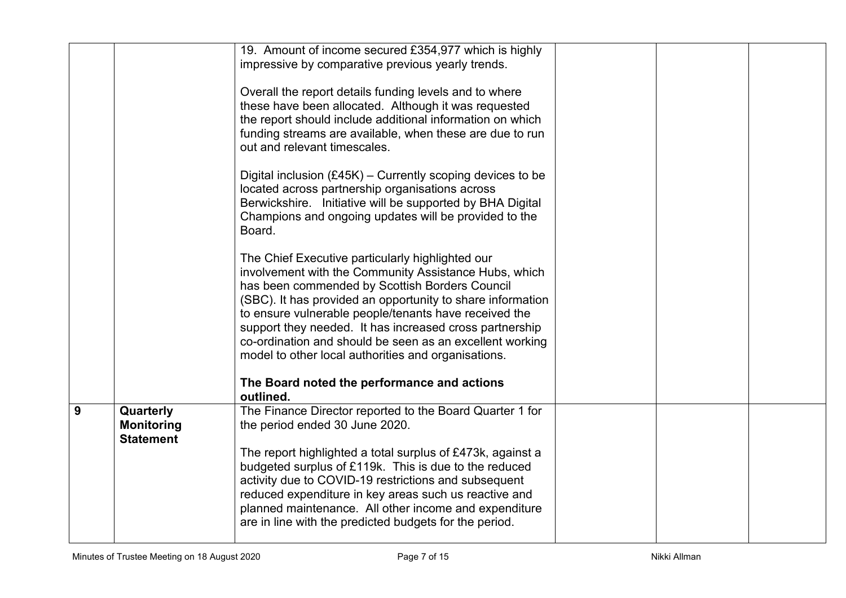|   |                                                    | 19. Amount of income secured £354,977 which is highly<br>impressive by comparative previous yearly trends.<br>Overall the report details funding levels and to where<br>these have been allocated. Although it was requested<br>the report should include additional information on which<br>funding streams are available, when these are due to run<br>out and relevant timescales.<br>Digital inclusion $(E45K)$ – Currently scoping devices to be<br>located across partnership organisations across<br>Berwickshire. Initiative will be supported by BHA Digital<br>Champions and ongoing updates will be provided to the<br>Board.<br>The Chief Executive particularly highlighted our<br>involvement with the Community Assistance Hubs, which<br>has been commended by Scottish Borders Council<br>(SBC). It has provided an opportunity to share information<br>to ensure vulnerable people/tenants have received the<br>support they needed. It has increased cross partnership<br>co-ordination and should be seen as an excellent working<br>model to other local authorities and organisations. |  |  |
|---|----------------------------------------------------|--------------------------------------------------------------------------------------------------------------------------------------------------------------------------------------------------------------------------------------------------------------------------------------------------------------------------------------------------------------------------------------------------------------------------------------------------------------------------------------------------------------------------------------------------------------------------------------------------------------------------------------------------------------------------------------------------------------------------------------------------------------------------------------------------------------------------------------------------------------------------------------------------------------------------------------------------------------------------------------------------------------------------------------------------------------------------------------------------------------|--|--|
|   |                                                    | The Board noted the performance and actions<br>outlined.                                                                                                                                                                                                                                                                                                                                                                                                                                                                                                                                                                                                                                                                                                                                                                                                                                                                                                                                                                                                                                                     |  |  |
| 9 | Quarterly<br><b>Monitoring</b><br><b>Statement</b> | The Finance Director reported to the Board Quarter 1 for<br>the period ended 30 June 2020.<br>The report highlighted a total surplus of £473k, against a<br>budgeted surplus of £119k. This is due to the reduced<br>activity due to COVID-19 restrictions and subsequent<br>reduced expenditure in key areas such us reactive and<br>planned maintenance. All other income and expenditure<br>are in line with the predicted budgets for the period.                                                                                                                                                                                                                                                                                                                                                                                                                                                                                                                                                                                                                                                        |  |  |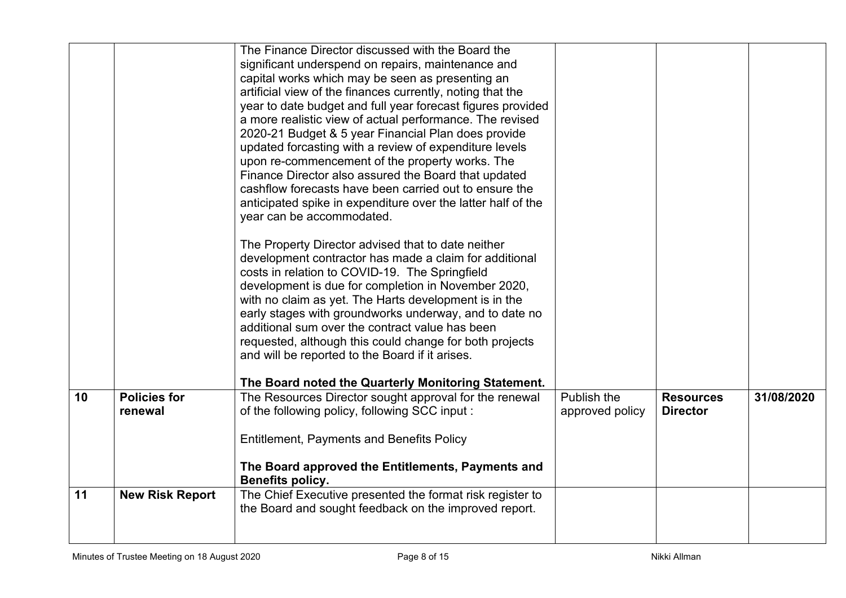|    |                                | The Finance Director discussed with the Board the<br>significant underspend on repairs, maintenance and<br>capital works which may be seen as presenting an<br>artificial view of the finances currently, noting that the<br>year to date budget and full year forecast figures provided<br>a more realistic view of actual performance. The revised<br>2020-21 Budget & 5 year Financial Plan does provide<br>updated forcasting with a review of expenditure levels<br>upon re-commencement of the property works. The<br>Finance Director also assured the Board that updated<br>cashflow forecasts have been carried out to ensure the<br>anticipated spike in expenditure over the latter half of the<br>year can be accommodated.<br>The Property Director advised that to date neither<br>development contractor has made a claim for additional<br>costs in relation to COVID-19. The Springfield<br>development is due for completion in November 2020,<br>with no claim as yet. The Harts development is in the<br>early stages with groundworks underway, and to date no<br>additional sum over the contract value has been |                                |                                     |            |
|----|--------------------------------|----------------------------------------------------------------------------------------------------------------------------------------------------------------------------------------------------------------------------------------------------------------------------------------------------------------------------------------------------------------------------------------------------------------------------------------------------------------------------------------------------------------------------------------------------------------------------------------------------------------------------------------------------------------------------------------------------------------------------------------------------------------------------------------------------------------------------------------------------------------------------------------------------------------------------------------------------------------------------------------------------------------------------------------------------------------------------------------------------------------------------------------|--------------------------------|-------------------------------------|------------|
|    |                                | requested, although this could change for both projects<br>and will be reported to the Board if it arises.                                                                                                                                                                                                                                                                                                                                                                                                                                                                                                                                                                                                                                                                                                                                                                                                                                                                                                                                                                                                                             |                                |                                     |            |
|    |                                | The Board noted the Quarterly Monitoring Statement.                                                                                                                                                                                                                                                                                                                                                                                                                                                                                                                                                                                                                                                                                                                                                                                                                                                                                                                                                                                                                                                                                    |                                |                                     |            |
| 10 | <b>Policies for</b><br>renewal | The Resources Director sought approval for the renewal<br>of the following policy, following SCC input:<br><b>Entitlement, Payments and Benefits Policy</b>                                                                                                                                                                                                                                                                                                                                                                                                                                                                                                                                                                                                                                                                                                                                                                                                                                                                                                                                                                            | Publish the<br>approved policy | <b>Resources</b><br><b>Director</b> | 31/08/2020 |
|    |                                | The Board approved the Entitlements, Payments and<br>Benefits policy.                                                                                                                                                                                                                                                                                                                                                                                                                                                                                                                                                                                                                                                                                                                                                                                                                                                                                                                                                                                                                                                                  |                                |                                     |            |
| 11 | <b>New Risk Report</b>         | The Chief Executive presented the format risk register to<br>the Board and sought feedback on the improved report.                                                                                                                                                                                                                                                                                                                                                                                                                                                                                                                                                                                                                                                                                                                                                                                                                                                                                                                                                                                                                     |                                |                                     |            |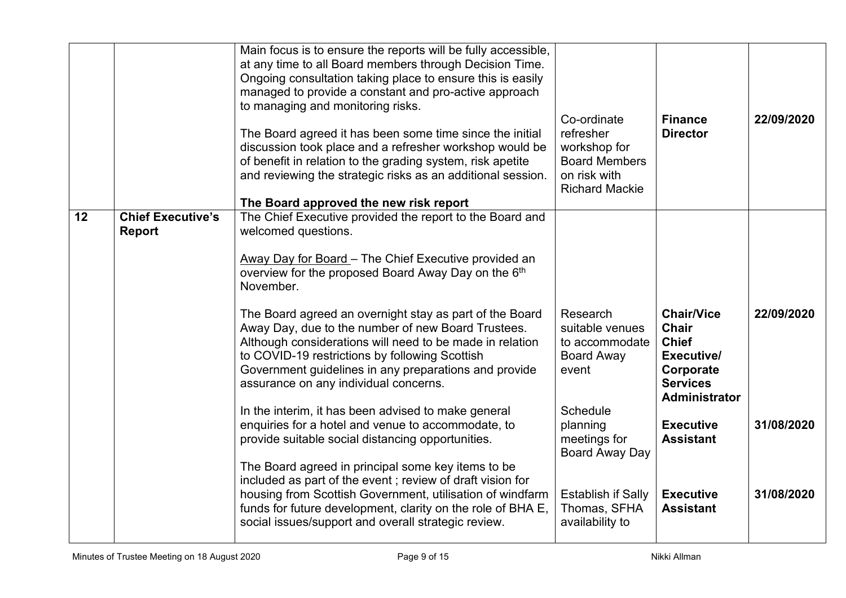|    |                                           | Main focus is to ensure the reports will be fully accessible,<br>at any time to all Board members through Decision Time.<br>Ongoing consultation taking place to ensure this is easily<br>managed to provide a constant and pro-active approach<br>to managing and monitoring risks.<br>The Board agreed it has been some time since the initial<br>discussion took place and a refresher workshop would be<br>of benefit in relation to the grading system, risk apetite<br>and reviewing the strategic risks as an additional session.<br>The Board approved the new risk report | Co-ordinate<br>refresher<br>workshop for<br><b>Board Members</b><br>on risk with<br><b>Richard Mackie</b> | <b>Finance</b><br><b>Director</b>                                                                         | 22/09/2020 |
|----|-------------------------------------------|------------------------------------------------------------------------------------------------------------------------------------------------------------------------------------------------------------------------------------------------------------------------------------------------------------------------------------------------------------------------------------------------------------------------------------------------------------------------------------------------------------------------------------------------------------------------------------|-----------------------------------------------------------------------------------------------------------|-----------------------------------------------------------------------------------------------------------|------------|
| 12 | <b>Chief Executive's</b><br><b>Report</b> | The Chief Executive provided the report to the Board and<br>welcomed questions.<br>Away Day for Board - The Chief Executive provided an<br>overview for the proposed Board Away Day on the 6th<br>November.                                                                                                                                                                                                                                                                                                                                                                        |                                                                                                           |                                                                                                           |            |
|    |                                           | The Board agreed an overnight stay as part of the Board<br>Away Day, due to the number of new Board Trustees.<br>Although considerations will need to be made in relation<br>to COVID-19 restrictions by following Scottish<br>Government guidelines in any preparations and provide<br>assurance on any individual concerns.                                                                                                                                                                                                                                                      | Research<br>suitable venues<br>to accommodate<br><b>Board Away</b><br>event                               | <b>Chair/Vice</b><br>Chair<br><b>Chief</b><br>Executive/<br>Corporate<br><b>Services</b><br>Administrator | 22/09/2020 |
|    |                                           | In the interim, it has been advised to make general<br>enquiries for a hotel and venue to accommodate, to<br>provide suitable social distancing opportunities.                                                                                                                                                                                                                                                                                                                                                                                                                     | <b>Schedule</b><br>planning<br>meetings for<br>Board Away Day                                             | <b>Executive</b><br><b>Assistant</b>                                                                      | 31/08/2020 |
|    |                                           | The Board agreed in principal some key items to be<br>included as part of the event; review of draft vision for<br>housing from Scottish Government, utilisation of windfarm<br>funds for future development, clarity on the role of BHA E,<br>social issues/support and overall strategic review.                                                                                                                                                                                                                                                                                 | <b>Establish if Sally</b><br>Thomas, SFHA<br>availability to                                              | <b>Executive</b><br><b>Assistant</b>                                                                      | 31/08/2020 |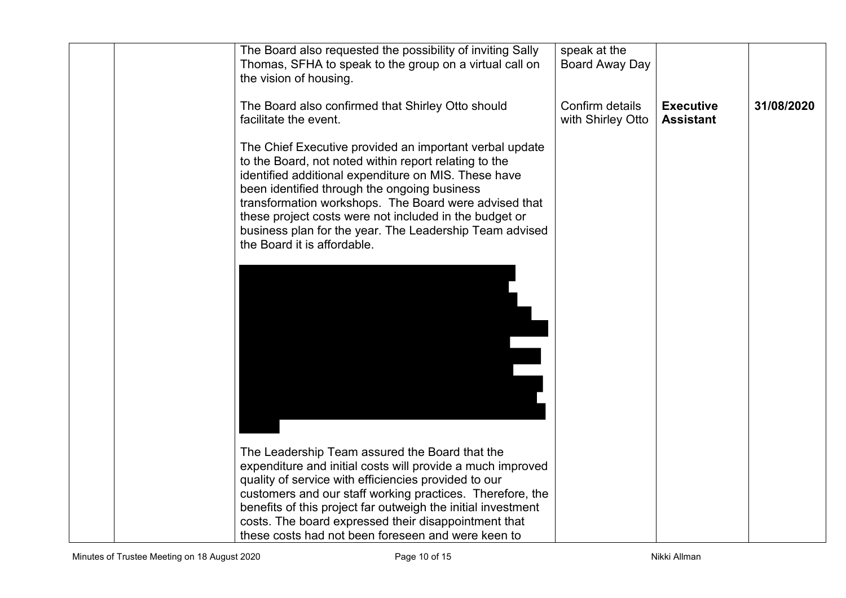|  | The Board also requested the possibility of inviting Sally<br>Thomas, SFHA to speak to the group on a virtual call on<br>the vision of housing.                                                                                                                                                                                                                                                                                       | speak at the<br>Board Away Day       |                                      |            |
|--|---------------------------------------------------------------------------------------------------------------------------------------------------------------------------------------------------------------------------------------------------------------------------------------------------------------------------------------------------------------------------------------------------------------------------------------|--------------------------------------|--------------------------------------|------------|
|  | The Board also confirmed that Shirley Otto should<br>facilitate the event.                                                                                                                                                                                                                                                                                                                                                            | Confirm details<br>with Shirley Otto | <b>Executive</b><br><b>Assistant</b> | 31/08/2020 |
|  | The Chief Executive provided an important verbal update<br>to the Board, not noted within report relating to the<br>identified additional expenditure on MIS. These have<br>been identified through the ongoing business<br>transformation workshops. The Board were advised that<br>these project costs were not included in the budget or<br>business plan for the year. The Leadership Team advised<br>the Board it is affordable. |                                      |                                      |            |
|  |                                                                                                                                                                                                                                                                                                                                                                                                                                       |                                      |                                      |            |
|  | The Leadership Team assured the Board that the<br>expenditure and initial costs will provide a much improved<br>quality of service with efficiencies provided to our<br>customers and our staff working practices. Therefore, the<br>benefits of this project far outweigh the initial investment<br>costs. The board expressed their disappointment that<br>these costs had not been foreseen and were keen to                       |                                      |                                      |            |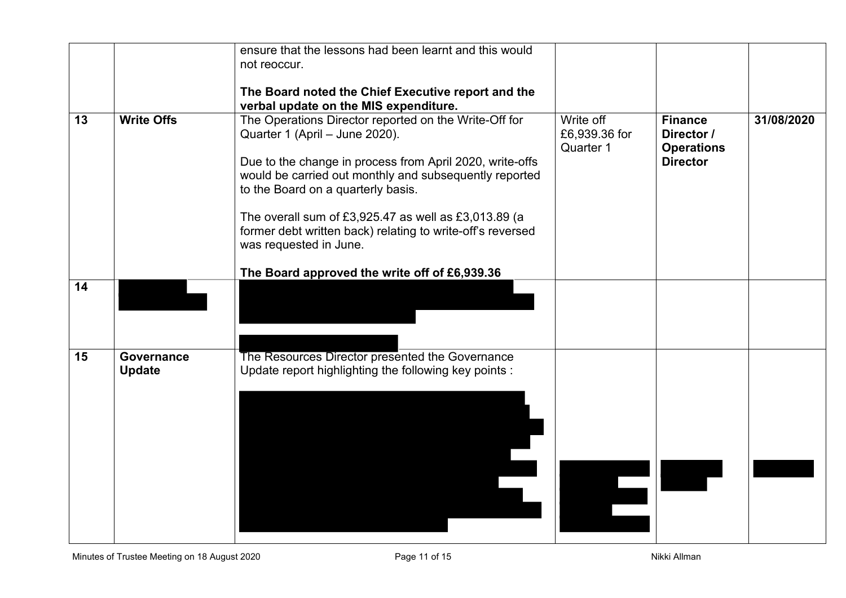|    |                             | ensure that the lessons had been learnt and this would<br>not reoccur.                                                                                                                                                                                                                                                                                                    |                                         |                                                                      |            |
|----|-----------------------------|---------------------------------------------------------------------------------------------------------------------------------------------------------------------------------------------------------------------------------------------------------------------------------------------------------------------------------------------------------------------------|-----------------------------------------|----------------------------------------------------------------------|------------|
|    |                             |                                                                                                                                                                                                                                                                                                                                                                           |                                         |                                                                      |            |
|    |                             | The Board noted the Chief Executive report and the<br>verbal update on the MIS expenditure.                                                                                                                                                                                                                                                                               |                                         |                                                                      |            |
| 13 | <b>Write Offs</b>           | The Operations Director reported on the Write-Off for<br>Quarter 1 (April - June 2020).<br>Due to the change in process from April 2020, write-offs<br>would be carried out monthly and subsequently reported<br>to the Board on a quarterly basis.<br>The overall sum of £3,925.47 as well as £3,013.89 (a<br>former debt written back) relating to write-off's reversed | Write off<br>£6,939.36 for<br>Quarter 1 | <b>Finance</b><br>Director /<br><b>Operations</b><br><b>Director</b> | 31/08/2020 |
|    |                             | was requested in June.<br>The Board approved the write off of £6,939.36                                                                                                                                                                                                                                                                                                   |                                         |                                                                      |            |
| 14 |                             |                                                                                                                                                                                                                                                                                                                                                                           |                                         |                                                                      |            |
| 15 | Governance<br><b>Update</b> | The Resources Director presented the Governance<br>Update report highlighting the following key points :                                                                                                                                                                                                                                                                  |                                         |                                                                      |            |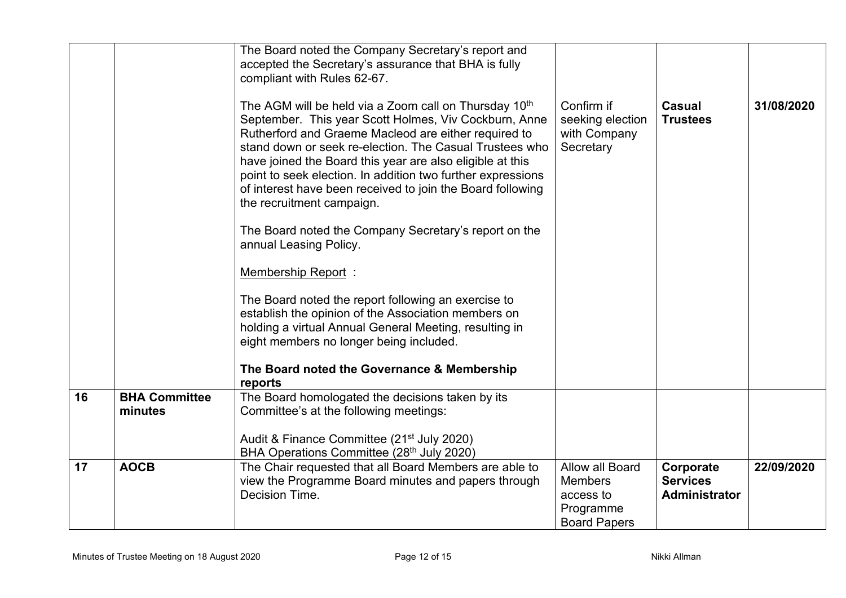|    |                                 | The Board noted the Company Secretary's report and<br>accepted the Secretary's assurance that BHA is fully<br>compliant with Rules 62-67.                                                                                                                                                                                                                                                                                                                            |                                                                                    |                                               |            |
|----|---------------------------------|----------------------------------------------------------------------------------------------------------------------------------------------------------------------------------------------------------------------------------------------------------------------------------------------------------------------------------------------------------------------------------------------------------------------------------------------------------------------|------------------------------------------------------------------------------------|-----------------------------------------------|------------|
|    |                                 | The AGM will be held via a Zoom call on Thursday 10 <sup>th</sup><br>September. This year Scott Holmes, Viv Cockburn, Anne<br>Rutherford and Graeme Macleod are either required to<br>stand down or seek re-election. The Casual Trustees who<br>have joined the Board this year are also eligible at this<br>point to seek election. In addition two further expressions<br>of interest have been received to join the Board following<br>the recruitment campaign. | Confirm if<br>seeking election<br>with Company<br>Secretary                        | <b>Casual</b><br><b>Trustees</b>              | 31/08/2020 |
|    |                                 | The Board noted the Company Secretary's report on the<br>annual Leasing Policy.                                                                                                                                                                                                                                                                                                                                                                                      |                                                                                    |                                               |            |
|    |                                 | <b>Membership Report:</b>                                                                                                                                                                                                                                                                                                                                                                                                                                            |                                                                                    |                                               |            |
|    |                                 | The Board noted the report following an exercise to<br>establish the opinion of the Association members on<br>holding a virtual Annual General Meeting, resulting in<br>eight members no longer being included.                                                                                                                                                                                                                                                      |                                                                                    |                                               |            |
|    |                                 | The Board noted the Governance & Membership<br>reports                                                                                                                                                                                                                                                                                                                                                                                                               |                                                                                    |                                               |            |
| 16 | <b>BHA Committee</b><br>minutes | The Board homologated the decisions taken by its<br>Committee's at the following meetings:<br>Audit & Finance Committee (21 <sup>st</sup> July 2020)                                                                                                                                                                                                                                                                                                                 |                                                                                    |                                               |            |
|    |                                 | BHA Operations Committee (28 <sup>th</sup> July 2020)                                                                                                                                                                                                                                                                                                                                                                                                                |                                                                                    |                                               |            |
| 17 | <b>AOCB</b>                     | The Chair requested that all Board Members are able to<br>view the Programme Board minutes and papers through<br>Decision Time.                                                                                                                                                                                                                                                                                                                                      | Allow all Board<br><b>Members</b><br>access to<br>Programme<br><b>Board Papers</b> | Corporate<br><b>Services</b><br>Administrator | 22/09/2020 |